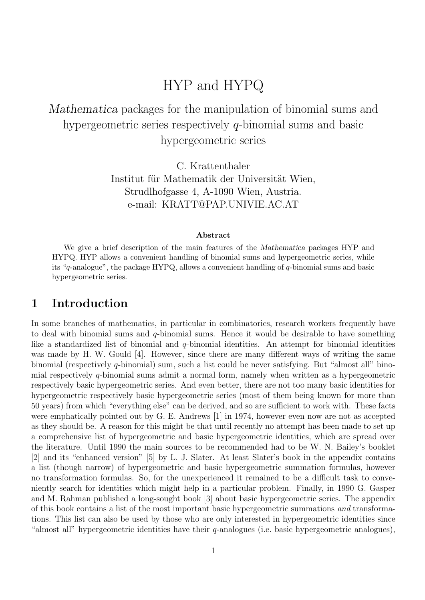# HYP and HYPQ

## Mathematica packages for the manipulation of binomial sums and hypergeometric series respectively q-binomial sums and basic hypergeometric series

C. Krattenthaler Institut für Mathematik der Universität Wien, Strudlhofgasse 4, A-1090 Wien, Austria. e-mail: KRATT@PAP.UNIVIE.AC.AT

#### Abstract

We give a brief description of the main features of the Mathematica packages HYP and HYPQ. HYP allows a convenient handling of binomial sums and hypergeometric series, while its "q-analogue", the package HYPQ, allows a convenient handling of  $q$ -binomial sums and basic hypergeometric series.

### 1 Introduction

In some branches of mathematics, in particular in combinatorics, research workers frequently have to deal with binomial sums and  $q$ -binomial sums. Hence it would be desirable to have something like a standardized list of binomial and  $q$ -binomial identities. An attempt for binomial identities was made by H. W. Gould [4]. However, since there are many different ways of writing the same binomial (respectively q-binomial) sum, such a list could be never satisfying. But "almost all" binomial respectively q-binomial sums admit a normal form, namely when written as a hypergeometric respectively basic hypergeometric series. And even better, there are not too many basic identities for hypergeometric respectively basic hypergeometric series (most of them being known for more than 50 years) from which "everything else" can be derived, and so are sufficient to work with. These facts were emphatically pointed out by G. E. Andrews [1] in 1974, however even now are not as accepted as they should be. A reason for this might be that until recently no attempt has been made to set up a comprehensive list of hypergeometric and basic hypergeometric identities, which are spread over the literature. Until 1990 the main sources to be recommended had to be W. N. Bailey's booklet [2] and its "enhanced version" [5] by L. J. Slater. At least Slater's book in the appendix contains a list (though narrow) of hypergeometric and basic hypergeometric summation formulas, however no transformation formulas. So, for the unexperienced it remained to be a difficult task to conveniently search for identities which might help in a particular problem. Finally, in 1990 G. Gasper and M. Rahman published a long-sought book [3] about basic hypergeometric series. The appendix of this book contains a list of the most important basic hypergeometric summations and transformations. This list can also be used by those who are only interested in hypergeometric identities since "almost all" hypergeometric identities have their  $q$ -analogues (i.e. basic hypergeometric analogues),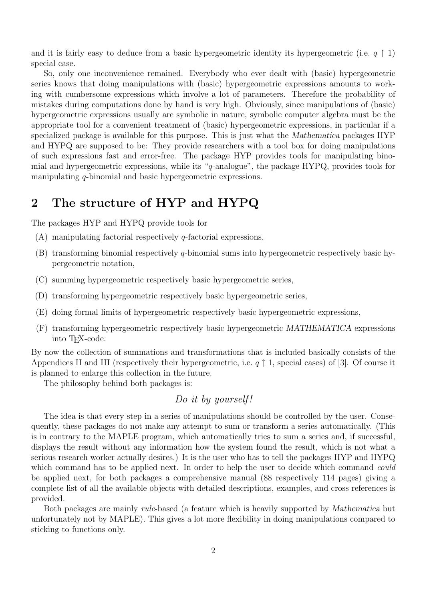and it is fairly easy to deduce from a basic hypergeometric identity its hypergeometric (i.e.  $q \uparrow 1$ ) special case.

So, only one inconvenience remained. Everybody who ever dealt with (basic) hypergeometric series knows that doing manipulations with (basic) hypergeometric expressions amounts to working with cumbersome expressions which involve a lot of parameters. Therefore the probability of mistakes during computations done by hand is very high. Obviously, since manipulations of (basic) hypergeometric expressions usually are symbolic in nature, symbolic computer algebra must be the appropriate tool for a convenient treatment of (basic) hypergeometric expressions, in particular if a specialized package is available for this purpose. This is just what the Mathematica packages HYP and HYPQ are supposed to be: They provide researchers with a tool box for doing manipulations of such expressions fast and error-free. The package HYP provides tools for manipulating binomial and hypergeometric expressions, while its "q-analogue", the package HYPQ, provides tools for manipulating q-binomial and basic hypergeometric expressions.

### 2 The structure of HYP and HYPQ

The packages HYP and HYPQ provide tools for

- $(A)$  manipulating factorial respectively q-factorial expressions,
- $(B)$  transforming binomial respectively q-binomial sums into hypergeometric respectively basic hypergeometric notation,
- (C) summing hypergeometric respectively basic hypergeometric series,
- (D) transforming hypergeometric respectively basic hypergeometric series,
- (E) doing formal limits of hypergeometric respectively basic hypergeometric expressions,
- (F) transforming hypergeometric respectively basic hypergeometric MATHEMATICA expressions into TEX-code.

By now the collection of summations and transformations that is included basically consists of the Appendices II and III (respectively their hypergeometric, i.e.  $q \uparrow 1$ , special cases) of [3]. Of course it is planned to enlarge this collection in the future.

The philosophy behind both packages is:

### Do it by yourself!

The idea is that every step in a series of manipulations should be controlled by the user. Consequently, these packages do not make any attempt to sum or transform a series automatically. (This is in contrary to the MAPLE program, which automatically tries to sum a series and, if successful, displays the result without any information how the system found the result, which is not what a serious research worker actually desires.) It is the user who has to tell the packages HYP and HYPQ which command has to be applied next. In order to help the user to decide which command *could* be applied next, for both packages a comprehensive manual (88 respectively 114 pages) giving a complete list of all the available objects with detailed descriptions, examples, and cross references is provided.

Both packages are mainly rule-based (a feature which is heavily supported by Mathematica but unfortunately not by MAPLE). This gives a lot more flexibility in doing manipulations compared to sticking to functions only.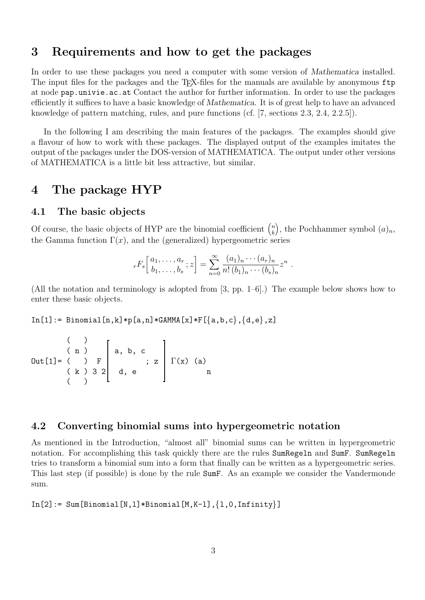### 3 Requirements and how to get the packages

In order to use these packages you need a computer with some version of Mathematica installed. The input files for the packages and the TFX-files for the manuals are available by anonymous ftp at node pap.univie.ac.at Contact the author for further information. In order to use the packages efficiently it suffices to have a basic knowledge of Mathematica. It is of great help to have an advanced knowledge of pattern matching, rules, and pure functions (cf. [7, sections 2.3, 2.4, 2.2.5]).

In the following I am describing the main features of the packages. The examples should give a flavour of how to work with these packages. The displayed output of the examples imitates the output of the packages under the DOS-version of MATHEMATICA. The output under other versions of MATHEMATICA is a little bit less attractive, but similar.

## 4 The package HYP

#### 4.1 The basic objects

Of course, the basic objects of HYP are the binomial coefficient  $\binom{n}{k}$  $\binom{n}{k}$ , the Pochhammer symbol  $(a)_n$ , the Gamma function  $\Gamma(x)$ , and the (generalized) hypergeometric series

$$
_rF_s\left[\begin{array}{c}a_1,\ldots,a_r\\b_1,\ldots,b_s\end{array};z\right]=\sum_{n=0}^\infty\frac{(a_1)_n\cdots(a_r)_n}{n!\,(b_1)_n\cdots(b_s)_n}z^n.
$$

(All the notation and terminology is adopted from [3, pp. 1–6].) The example below shows how to enter these basic objects.

 $In [1]: = Binomial[n,k]*p[a,n]*GAMMA[x]*F[{a,b,c},{d,e},z]$ 

$$
\begin{array}{c} ( ) \\ \text{Out [1]} = ( ) & F \\ ( k ) & 3 & 2 \\ ( ) & ( ) & \end{array} \begin{bmatrix} a, b, c \\ s, z \\ d, e \\ a \end{bmatrix} \begin{bmatrix} \Gamma(x) & (a) \\ n \end{bmatrix}
$$

#### 4.2 Converting binomial sums into hypergeometric notation

As mentioned in the Introduction, "almost all" binomial sums can be written in hypergeometric notation. For accomplishing this task quickly there are the rules SumRegeln and SumF. SumRegeln tries to transform a binomial sum into a form that finally can be written as a hypergeometric series. This last step (if possible) is done by the rule SumF. As an example we consider the Vandermonde sum.

 $In [2]: = Sum[Binomial[N,1]*Binomial[M,K-1], {1,0,Infinity}]$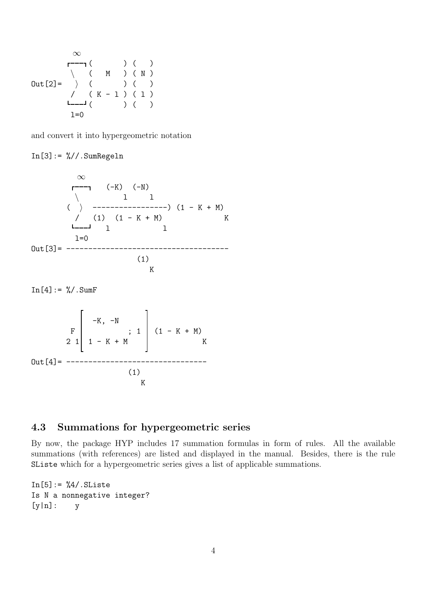∞ ( ) ( ) \ ( M ) ( N ) Out[2]= i ( ) ( ) / ( K - l ) ( l ) ( ) ( ) l=0

and convert it into hypergeometric notation

 $In [3]: = % // . SumRegeln$ 

$$
\begin{array}{c}\n\infty \\
\begin{array}{ccc}\n & (-K) & (-N) \\
 & 1 & 1 \\
 & (\end{array}) & \\
\begin{array}{ccc}\n & 1 & 1 \\
 & (1) & (1 - K + M) \\
 & \begin{array}{ccc}\n & -1 & 1 \\
 & 1 & 1\n\end{array}\n\end{array}
$$
\n
$$
\begin{array}{c}\n\text{Out [3]} = \begin{array}{ccc}\n & -1 & -1 & -1 \\
 & 1 & 1 \\
 & \begin{array}{ccc}\n & 1 & 1 \\
 & (1) & \\
 & \begin{array}{ccc}\n & K\n\end{array}\n\end{array}
$$

 $In [4] := \% / . SumF$ 

-K, -N F ; 1 (1 - K + M) 2 1 1 - K + M K Out[4]= -------------------------------- (1) K

### 4.3 Summations for hypergeometric series

By now, the package HYP includes 17 summation formulas in form of rules. All the available summations (with references) are listed and displayed in the manual. Besides, there is the rule SListe which for a hypergeometric series gives a list of applicable summations.

```
In [5]: = %4/. SListeIs N a nonnegative integer?
[y|n]: y
```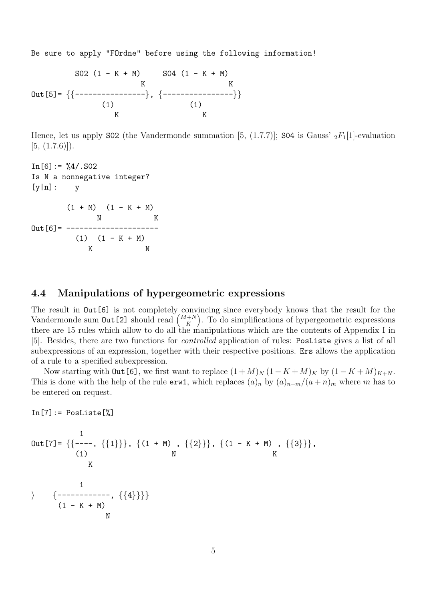Be sure to apply "FOrdne" before using the following information!

S02 (1 - K + M) S04 (1 - K + M) K K Out[5]= {{----------------}, {----------------}}  $(1)$   $(1)$ K K

Hence, let us apply S02 (the Vandermonde summation [5, (1.7.7)]; S04 is Gauss'  ${}_2F_1[1]$ -evaluation  $[5, (1.7.6)]$ .

```
In [6]: = \%4/.SO2Is N a nonnegative integer?
[y|n]: y(1 + M) (1 - K + M)N K
Out[6] = ----------------
        (1) (1 - K + M)K N
```
#### 4.4 Manipulations of hypergeometric expressions

The result in  $Out[6]$  is not completely convincing since everybody knows that the result for the Vandermonde sum  $\text{Out [2]}$  should read  $\binom{M+N}{K}$  $K_K^{(+N)}$ . To do simplifications of hypergeometric expressions there are 15 rules which allow to do all the manipulations which are the contents of Appendix I in [5]. Besides, there are two functions for controlled application of rules: PosListe gives a list of all subexpressions of an expression, together with their respective positions. Ers allows the application of a rule to a specified subexpression.

Now starting with Out [6], we first want to replace  $(1 + M)<sub>N</sub> (1 - K + M)<sub>K</sub>$  by  $(1 - K + M)<sub>K+N</sub>$ . This is done with the help of the rule  $erw1$ , which replaces  $(a)_n$  by  $(a)_{n+m}/(a+n)_m$  where m has to be entered on request.

In[7]:= PosListe[%]

Out [7] = {  
\n
$$
\{(---,-, \{\{1\}\}, \{\{1+M\}, \{\{2\}\}\}, \{\{1-K+M\}, \{\{3\}\}\},
$$
  
\nK  
\nK  
\n $\{(--------, \{\{4\}\}\})$   
\n $\{(-K+M), \{\{2\}\}\}$   
\n $\{(-K+M), \{1-K+M\}\}$   
\nN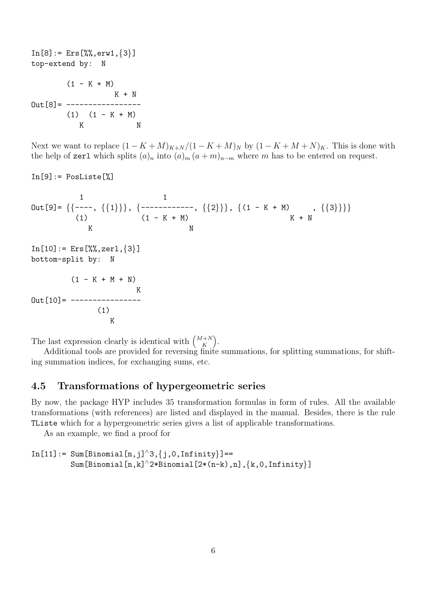$In [8]: = Ers[\% , errw1, \{3\}]$ top-extend by: N  $(1 - K + M)$ K + N  $Out [8] =$  ------------------ $(1)$   $(1 - K + M)$ K N

Next we want to replace  $(1 - K + M)_{K+N}/(1 - K + M)_{N}$  by  $(1 - K + M + N)_{K}$ . This is done with the help of zerl which splits  $(a)_n$  into  $(a)_m (a + m)_{n-m}$  where m has to be entered on request.

In[9]:= PosListe[%] 1 1 Out[9]= {{----, {{1}}}, {------------, {{2}}}, {(1 - K + M) , {{3}}}} (1) (1 - K + M) K + N K N In[10]:= Ers[%%,zerl,{3}] bottom-split by: N (1 - K + M + N) K Out[10]= ---------------- (1) K

The last expression clearly is identical with  $\binom{M+N}{K}$  $\binom{+N}{K}$ .

Additional tools are provided for reversing finite summations, for splitting summations, for shifting summation indices, for exchanging sums, etc.

#### 4.5 Transformations of hypergeometric series

By now, the package HYP includes 35 transformation formulas in form of rules. All the available transformations (with references) are listed and displayed in the manual. Besides, there is the rule TListe which for a hypergeometric series gives a list of applicable transformations.

As an example, we find a proof for

```
In[11]:= Sum[Binomial[n,j]^3,{j,0,Infinity}]==
         Sum[Binomial[n,k]^2*Binomial[2*(n-k),n],\{k,0,\text{Infinity}\}]
```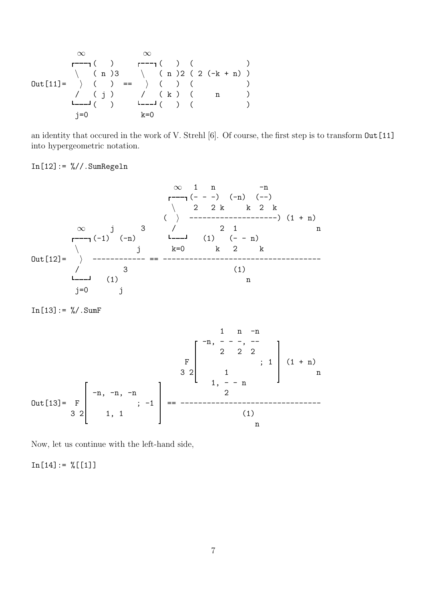∞ ∞ ( ) ( ) ( ) \ ( n )3 \ ( n )2 ( 2 (-k + n) ) Out[11]= i ( ) == i ( ) ( ) / ( j ) / ( k ) ( n ) ( ) ( ) ( ) j=0 k=0

an identity that occured in the work of V. Strehl [6]. Of course, the first step is to transform  $Out[11]$ into hypergeometric notation.

### $In [12]: = % // . SumRegeln$

$$
\begin{array}{c|cccc}\n\infty & 1 & n & -n \\
 & & & & & \\
 & & & & & \\
 & & & & & \\
\hline\n& & 2 & 2 & k & k & 2 & k \\
 & & & & & \\
\infty & j & 3 & 7 & 2 & 1 & n \\
\hline\n& & & & & \\
\end{array}
$$
\n
$$
\begin{array}{c|cccc}\n\infty & j & 3 & 7 & 2 & 1 \\
\hline\n& & & & & \\
\hline\n& & & & & \\
\end{array}
$$
\n
$$
\begin{array}{c|cccc}\n0ut[12] = & & & \\
 & & & & \\
\hline\n& & & & \\
\end{array}
$$
\n
$$
\begin{array}{c|cccc}\n\infty & j & 3 & 7 & 2 & 1 \\
\hline\n& & & & & \\
\end{array}
$$
\n
$$
\begin{array}{c|cccc}\n1 & 2 & 1 & n & n \\
\hline\n& & & & & \\
\end{array}
$$
\n
$$
\begin{array}{c|cccc}\n0ut[12] = & & & & \\
\end{array}
$$
\n
$$
\begin{array}{c|cccc}\n\text{Out}[12] = & & & \\
\end{array}
$$
\n
$$
\begin{array}{c|cccc}\n1 & 3 & 7 & 2 & 1 \\
\hline\n\end{array}
$$
\n
$$
\begin{array}{c|cccc}\n1 & 0 & 0 & -n & 0 \\
\hline\n\end{array}
$$
\n
$$
\begin{array}{c|cccc}\n1 & 0 & 0 & -n & 0 \\
\hline\n\end{array}
$$
\n
$$
\begin{array}{c|cccc}\n1 & 0 & 0 & -n & 0 \\
\hline\n\end{array}
$$

 $In [13] := \% / . SumF$ 

1 n -n -n, - - -, -- 2 2 2 F ; 1 (1 + n) 3 2 1 n 1, - - n -n, -n, -n 2 Out[13]= F ; -1 == -------------------------------- 3 2 1, 1 (1) n

Now, let us continue with the left-hand side,

 $In[14]: = \%[[1]]$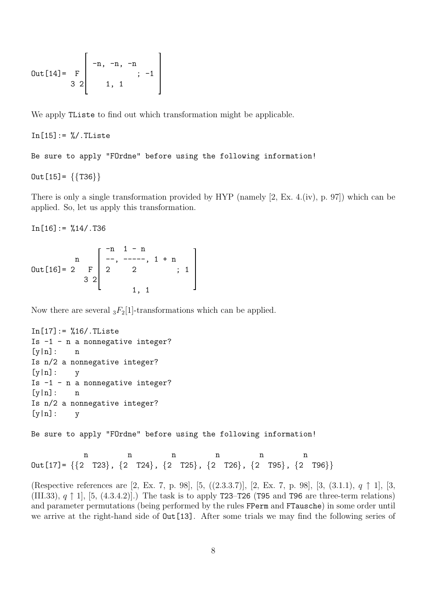Out [14] = 
$$
\begin{bmatrix} -n, -n, -n \\ 3 & 2 \end{bmatrix}
$$
 1, 1

We apply **TL** is to find out which transformation might be applicable.

```
In [15] := % / . This
```
Be sure to apply "FOrdne" before using the following information!

 $Out[15] = \{\{T36\}\}\$ 

There is only a single transformation provided by HYP (namely [2, Ex. 4.(iv), p. 97]) which can be applied. So, let us apply this transformation.

 $In [16] := %14/.T36$ 

|                    |                |                | $-n$ 1 - n   |                 |  |
|--------------------|----------------|----------------|--------------|-----------------|--|
|                    |                |                | $---, 1 + n$ |                 |  |
| $Out[16] = 2 \t F$ |                | $\overline{2}$ |              | $\dddot{\cdot}$ |  |
|                    | $\overline{Q}$ |                |              |                 |  |
|                    |                |                |              |                 |  |

Now there are several  ${}_{3}F_{2}[1]$ -transformations which can be applied.

```
In [17] := %16/.TListeIs -1 - n a nonnegative integer?
[y|n]: n
Is n/2 a nonnegative integer?
[y|n]: yIs -1 - n a nonnegative integer?
[y|n]: n
Is n/2 a nonnegative integer?
[y|n]: y
```
Be sure to apply "FOrdne" before using the following information!

n n n n n Out[17]=  $\{\{2 \space T23\}, \{2 \space T24\}, \{2 \space T25\}, \{2 \space T26\}, \{2 \space T95\}, \{2 \space T96\}\}\$ 

(Respective references are [2, Ex. 7, p. 98], [5, ((2.3.3.7)], [2, Ex. 7, p. 98], [3, (3.1.1), q ↑ 1], [3, (III.33),  $q \uparrow 1$ , [5, (4.3.4.2)].) The task is to apply T23–T26 (T95 and T96 are three-term relations) and parameter permutations (being performed by the rules FPerm and FTausche) in some order until we arrive at the right-hand side of  $Out[13]$ . After some trials we may find the following series of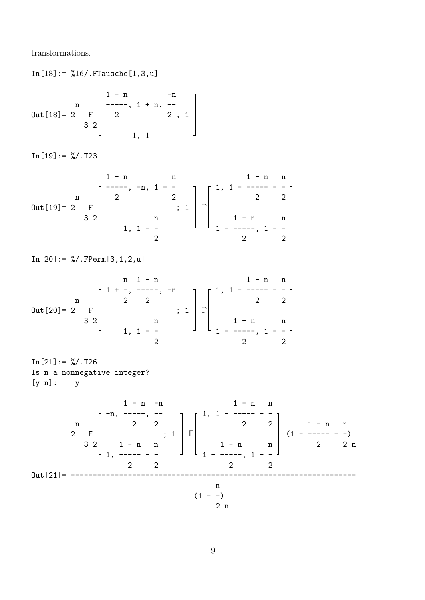transformations.

 $In [18] := %16/.$  FTausche $[1, 3, u]$ 

$$
Out[18] = 2 \t F \begin{bmatrix} 1-n & -n \\ ---, 1+n, --- \\ 2 & 2; 1 \\ 3 & 2 \end{bmatrix}
$$

 $In [19] := % / . T23$ 

$$
0 \text{ut [19]} = 2 \begin{bmatrix} 1-n & n & 1-n & n \\ 2 & 2 & 2 & 2 \\ 3 & 2 & 1 & 1-2 & 2 \\ & & & & 1 & 1-2 & 2 \\ & & & & & 2 & 2 \\ & & & & & 2 & 2 \\ & & & & & 2 & 2 \\ & & & & & & 2 \end{bmatrix}
$$

In[20]:= %/.FPerm[3,1,2,u]

n 1 - n 1 - n n 1 + -, -----, -n 1, 1 - ----- - n 2 2 2 2 Out[20]= 2 F ; 1 Γ 3 2 n 1 - n n 1, 1 - - 1 - -----, 1 - - 2 2 2

 $In [21]: = %/.T26$ Is n a nonnegative integer? [y|n]: y

1 - n -n 1 - n n -n, -----, -- 1, 1 - ----- - n 2 2 2 2 1 - n n 2 F ; 1 Γ (1 - ----- - -) 3 2 1 - n n 1 - n n 2 2 n 1, ----- - - 1 - -----, 1 - - 2 2 2 2 Out[21]= ---------------------------------------------------------------- n (1 - -) 2 n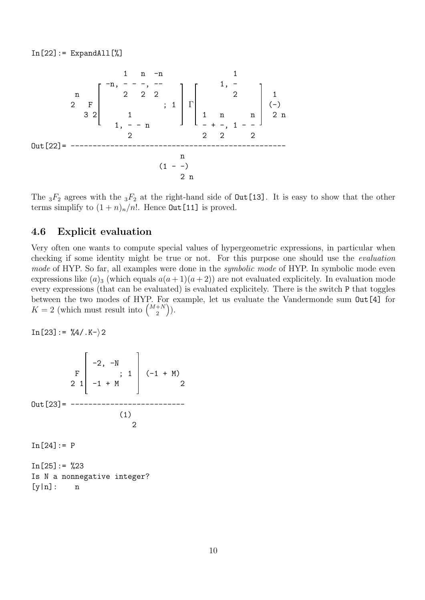

The  ${}_{3}F_2$  agrees with the  ${}_{3}F_2$  at the right-hand side of **Out** [13]. It is easy to show that the other terms simplify to  $(1 + n)$ <sub>n</sub>/n!. Hence **Out** [11] is proved.

#### 4.6 Explicit evaluation

Very often one wants to compute special values of hypergeometric expressions, in particular when checking if some identity might be true or not. For this purpose one should use the evaluation mode of HYP. So far, all examples were done in the *symbolic mode* of HYP. In symbolic mode even expressions like  $(a)_3$  (which equals  $a(a+1)(a+2)$ ) are not evaluated explicitely. In evaluation mode every expressions (that can be evaluated) is evaluated explicitely. There is the switch P that toggles between the two modes of HYP. For example, let us evaluate the Vandermonde sum Out[4] for  $K=2$  (which must result into  $\binom{M+N}{2}$  $\binom{+N}{2}$ ).

 $In [23]: = \%4/. K-\rangle 2$ 

$$
\begin{bmatrix}\n & & \\
 & -2 & -N & \\
 & & \\
 & & 2 & 1\n\end{bmatrix}\n\begin{bmatrix}\n-2, & -N & \\
 & & \n\end{bmatrix}\n\begin{bmatrix}\n-1 + M & \\
 & 2\n\end{bmatrix}
$$
\n
$$
Out [23] =
$$
---------------  
\n(1)\n
$$
1\n\begin{bmatrix}\n24\n\end{bmatrix} := P
$$

 $In [25] := %23$ Is N a nonnegative integer?  $[y|n]:$  n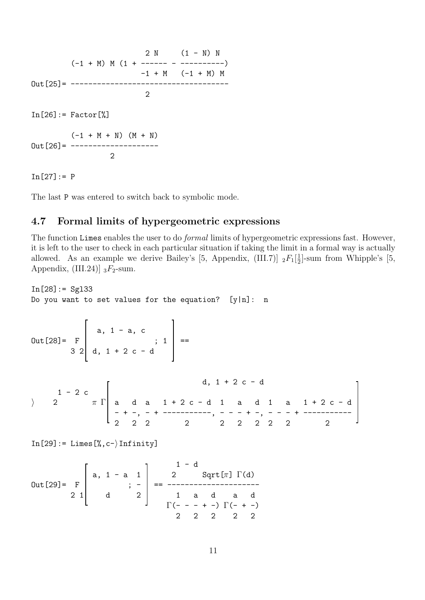$2 N (1 - N) N$  $(-1 + M) M (1 + --- - - - - - - - - -)$  $-1 + M$   $(-1 + M)$  M Out[25]= ------------------------------------ 2  $In [26] := Factor$   $[%]$  $(-1 + M + N)$   $(M + N)$  $Out [26] =$  ---------------------2

 $In [27] := P$ 

The last P was entered to switch back to symbolic mode.

#### 4.7 Formal limits of hypergeometric expressions

The function Limes enables the user to do *formal* limits of hypergeometric expressions fast. However, it is left to the user to check in each particular situation if taking the limit in a formal way is actually allowed. As an example we derive Bailey's [5, Appendix, (III.7)]  ${}_2F_1[\frac{1}{2}]$  $\frac{1}{2}$ ]-sum from Whipple's [5, Appendix, (III.24)]  $_3F_2$ -sum.

 $In [28]: = Sg133$ Do you want to set values for the equation?  $[y|n]$ : n

Out [28] = 
$$
F
$$
   
  $3 \begin{bmatrix} a, 1 - a, c \\ d, 1 + 2 c - d \end{bmatrix}$  ==

d, 1 + 2 c - d 1 - 2 c i 2 π Γ a d a 1 + 2 c - d 1 a d 1 a 1 + 2 c - d - + -, - + -----------, - - - + -, - - - + ----------- 2 2 2 2 2 2 2 2 2 2

 $In [29]: = Lines [\%, c-\rangle Infinity]$ 

$$
Out[29] = \begin{bmatrix} a, 1 - a & 1 \\ 2 & 1 & 2 \end{bmatrix} = \begin{bmatrix} 1 - d & 1 - d & 1 \\ 2 & 1 - d & 2 - d & 1 \\ 3 & 2 & 1 - d & 1 \\ 4 & 2 & 1 - d & 1 \\ 5 & 2 & 2 - 2 & 2 - 2 \end{bmatrix}
$$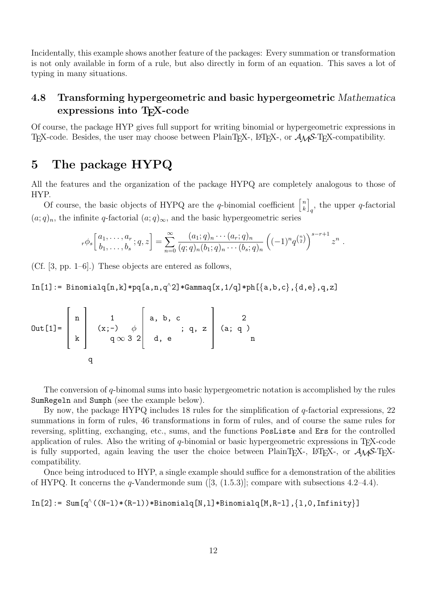Incidentally, this example shows another feature of the packages: Every summation or transformation is not only available in form of a rule, but also directly in form of an equation. This saves a lot of typing in many situations.

### 4.8 Transforming hypergeometric and basic hypergeometric Mathematica expressions into T<sub>E</sub>X-code

Of course, the package HYP gives full support for writing binomial or hypergeometric expressions in TEX-code. Besides, the user may choose between PlainTEX-, L<sup>AT</sup>EX-, or  $\mathcal{A}\mathcal{M}S$ -TEX-compatibility.

### 5 The package HYPQ

All the features and the organization of the package HYPQ are completely analogous to those of HYP.

Of course, the basic objects of HYPQ are the q-binomial coefficient  $\begin{bmatrix} n \\ k \end{bmatrix}$  $\begin{bmatrix} n \ k \end{bmatrix}$  $_q$ , the upper q-factorial  $(a;q)_n$ , the infinite q-factorial  $(a;q)_{\infty}$ , and the basic hypergeometric series

$$
{}_r\phi_s\left[\begin{matrix}a_1,\ldots,a_r\\b_1,\ldots,b_s\end{matrix};q,z\right] = \sum_{n=0}^\infty \frac{(a_1;q)_n\cdots(a_r;q)_n}{(q;q)_n(b_1;q)_n\cdots(b_s;q)_n}\left((-1)^n q^{\binom{n}{2}}\right)^{s-r+1} z^n.
$$

(Cf. [3, pp. 1–6].) These objects are entered as follows,

In[1]:= Binomialq[n,k]\*pq[a,n,q^2]\*Gammaq[x,1/q]\*ph[{a,b,c},{d,e},q,z]

Out[1]= 
$$
\begin{bmatrix} n \\ k \end{bmatrix}
$$
 $\begin{bmatrix} 1 \\ (x;-) \\ q \infty 3 \ 2 \end{bmatrix}$  $\begin{bmatrix} a, b, c \\ d, e \end{bmatrix}$  $\begin{bmatrix} 2 \\ q, z \end{bmatrix}$  $\begin{bmatrix} 2 \\ (a; q) \\ n \end{bmatrix}$ 

The conversion of q-binomal sums into basic hypergeometric notation is accomplished by the rules SumRegeln and Sumph (see the example below).

By now, the package HYPQ includes 18 rules for the simplification of  $q$ -factorial expressions, 22 summations in form of rules, 46 transformations in form of rules, and of course the same rules for reversing, splitting, exchanging, etc., sums, and the functions PosListe and Ers for the controlled application of rules. Also the writing of  $q$ -binomial or basic hypergeometric expressions in T<sub>E</sub>X-code is fully supported, again leaving the user the choice between PlainT<sub>E</sub>X-, L<sup>AT</sup>EX-, or  $\mathcal{A}_{\mathcal{M}}\mathcal{S}$ -TEXcompatibility.

Once being introduced to HYP, a single example should suffice for a demonstration of the abilities of HYPQ. It concerns the  $q$ -Vandermonde sum  $([3, (1.5.3)]$ ; compare with subsections 4.2–4.4).

 $In [2]: = Sum[q^( (N-1)*(R-1))*Binomial q[N,1]*Binomial q[M,R-1], {1,0,Infinity}]$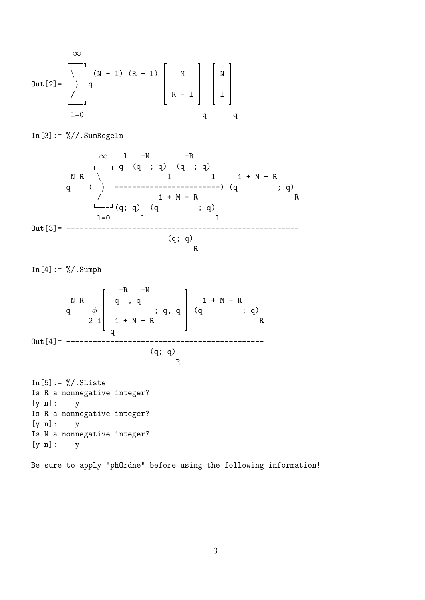$$
\begin{array}{c}\n\infty \\
\begin{array}{ccc}\n\text{Out [2]} = & \nearrow & \text{(N - 1)} & \text{(R - 1)} \\
\end{array} & \begin{array}{ccc}\n\text{M} & \text{M} & \text{M} \\
\text{R - 1} & \text{M} & \text{M} \\
\end{array} & \begin{array}{ccc}\n\text{M} & \text{M} & \text{M} \\
\text{R - 1} & \text{M} & \text{M} \\
\end{array} & \begin{array}{ccc}\n\text{M} & \text{M} & \text{M} \\
\text{R - 1} & \text{M} & \text{M} \\
\end{array} & \begin{array}{ccc}\n\text{M} & \text{M} & \text{M} & \text{M} \\
\end{array} & \begin{array}{ccc}\n\text{M} & \text{M} & \text{M} & \text{M} \\
\end{array} & \begin{array}{ccc}\n\text{M} & \text{M} & \text{M} & \text{M} \\
\end{array} & \begin{array}{ccc}\n\text{M} & \text{M} & \text{M} & \text{M} & \text{M} \\
\end{array} & \begin{array}{ccc}\n\text{M} & \text{M} & \text{M} & \text{M} & \text{M} \\
\end{array} & \begin{array}{ccc}\n\text{M} & \text{M} & \text{M} & \text{M} & \text{M} \\
\end{array} & \begin{array}{ccc}\n\text{M} & \text{M} & \text{M} & \text{M} & \text{M} & \text{M} \\
\end{array} & \begin{array}{ccc}\n\text{M} & \text{M} & \text{M} & \text{M} & \text{M} & \text{M} & \text{M} \\
\end{array} & \begin{array}{ccc}\n\text{M} & \text{M} & \text{M} & \text{M} & \text{M} & \text{M} & \text{M} & \text{M} & \text{M} \\
\end{array} & \begin{array}{ccc}\n\text{M} & \text{M} & \text{M} & \text{M} & \text{M} & \text{M} & \text{M} & \text{M} & \text{M} \\
\end{array} & \begin{array}{ccc}\n\text{M} & \text{M} & \text{M} & \text{M} & \text{M} & \text{M} & \text{M} & \text{M} &
$$

 $In [3]: = % // . SumRegeln$ 

∞ l -N -R q (q ; q) (q ; q) N R \ l l 1 + M - R q ( i ------------------------) (q ; q) / 1 + M - R R (q; q) (q ; q) l=0 l l Out[3]= ----------------------------------------------------- (q; q) R

 $In [4]: = % \; . \; Sumph$ 

 $-R$   $-N$  $N$  R q, q  $1 + M - R$ q  $\phi$  | ; q, q | (q ; q) 2 1 | 1 + M - R R q Out[4]= --------------------------------------------- (q; q) R

 $In [5]: = %/. SListe$ Is R a nonnegative integer?  $[y|n]:$   $y$ Is R a nonnegative integer?  $[y|n]:$   $y$ Is N a nonnegative integer? [y|n]: y

Be sure to apply "phOrdne" before using the following information!

13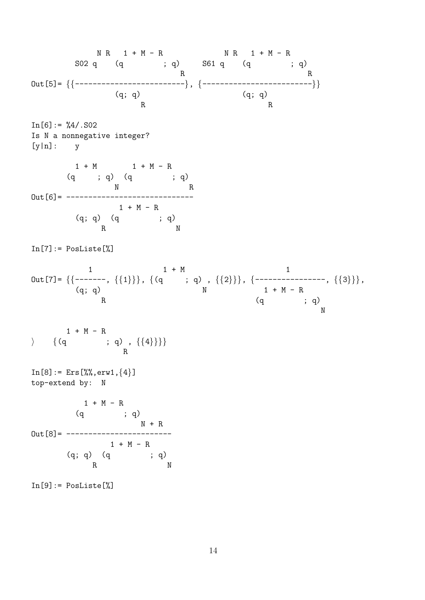N R 1 + M - R N R 1 + M - R S02 q (q ; q) S61 q (q ; q) R R Out[5]= {{-------------------------}, {-------------------------}}  $(q; q)$ R R  $In [6]: = \%4/.SO2$ Is N a nonnegative integer?  $[y|n]:$   $y$  $1 + M$  1 + M - R  $(q ; q)$   $(q ; q)$ N R Out[6]= -----------------------------  $1 + M - R$  $(q; q)$   $(q$  ;  $q)$ R N  $In [7]:= PosListe[\%]$  $1 + M$  1 Out[7]= {{-------, {{1}}}, {(q  $\qquad$ ; q), {{2}}}, {----------------, {{3}}}, (q; q) N 1 + M - R R  $(q \t ; q)$ N  $1 + M - R$  $\rangle \qquad \{(q \qquad ; q) , \{\{4\}\}\}\$ R  $In [8]: = Ers[\%], errw1, \{4\}]$ top-extend by: N  $1 + M - R$ (q ; q)  $N + R$  $0$ ut [8] = ------------------------ $1 + M - R$  $\left( \begin{matrix} \mathbf{q}; \; \mathbf{q} \end{matrix} \right) \quad \left( \begin{matrix} \mathbf{q} \end{matrix} \right) \quad \quad \mathbf{q} \tag{9}$ R N  $In [9] := PosListe[\%]$